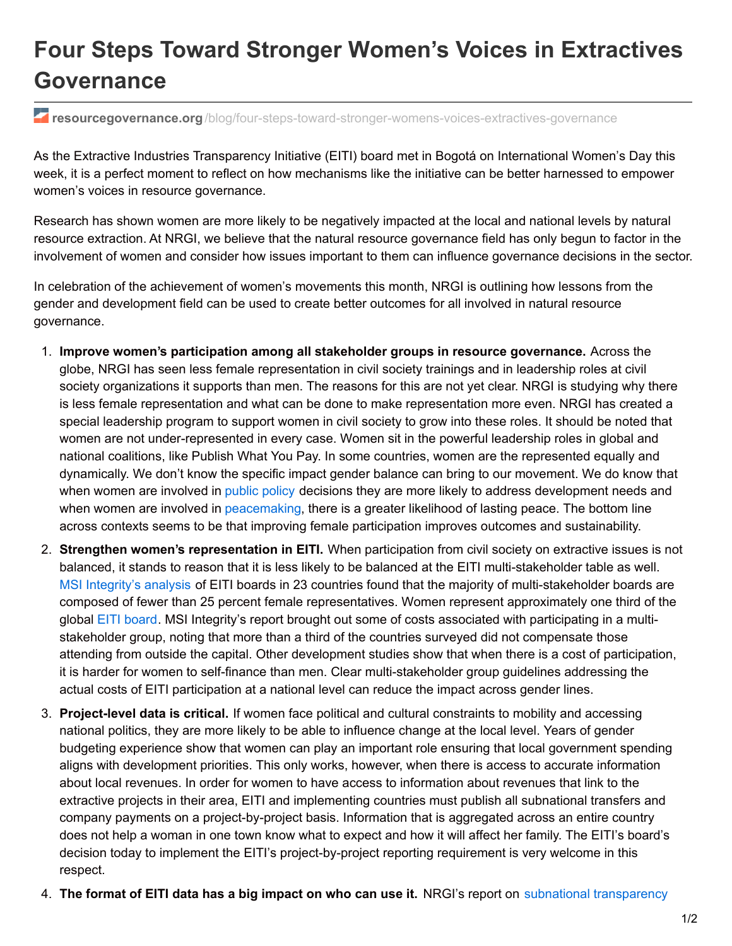## **Four Steps Toward Stronger Women's Voices in Extractives Governance**

*F* resourcegovernance.org[/blog/four-steps-toward-stronger-womens-voices-extractives-governance](https://resourcegovernance.org/blog/four-steps-toward-stronger-womens-voices-extractives-governance)

As the Extractive Industries Transparency Initiative (EITI) board met in Bogotá on International Women's Day this week, it is a perfect moment to reflect on how mechanisms like the initiative can be better harnessed to empower women's voices in resource governance.

Research has shown women are more likely to be negatively impacted at the local and national levels by natural resource extraction. At NRGI, we believe that the natural resource governance field has only begun to factor in the involvement of women and consider how issues important to them can influence governance decisions in the sector.

In celebration of the achievement of women's movements this month, NRGI is outlining how lessons from the gender and development field can be used to create better outcomes for all involved in natural resource governance.

- 1. **Improve women's participation among all stakeholder groups in resource governance.** Across the globe, NRGI has seen less female representation in civil society trainings and in leadership roles at civil society organizations it supports than men. The reasons for this are not yet clear. NRGI is studying why there is less female representation and what can be done to make representation more even. NRGI has created a special leadership program to support women in civil society to grow into these roles. It should be noted that women are not under-represented in every case. Women sit in the powerful leadership roles in global and national coalitions, like Publish What You Pay. In some countries, women are the represented equally and dynamically. We don't know the specific impact gender balance can bring to our movement. We do know that when women are involved in [public](http://economics.mit.edu/files/792) policy decisions they are more likely to address development needs and when women are involved in [peacemaking](http://www.unwomen.org/en/what-we-do/peace-and-security/facts-and-figures#notes), there is a greater likelihood of lasting peace. The bottom line across contexts seems to be that improving female participation improves outcomes and sustainability.
- 2. **Strengthen women's representation in EITI.** When participation from civil society on extractive issues is not balanced, it stands to reason that it is less likely to be balanced at the EITI multi-stakeholder table as well. MSI [Integrity's](http://www.msi-integrity.org/wp-content/uploads/2015/02/MSI-Integrity-Summary-Protecting-the-Cornerstone-EN.pdf) analysis of EITI boards in 23 countries found that the majority of multi-stakeholder boards are composed of fewer than 25 percent female representatives. Women represent approximately one third of the global EITI [board](https://eiti.org/about/board). MSI Integrity's report brought out some of costs associated with participating in a multistakeholder group, noting that more than a third of the countries surveyed did not compensate those attending from outside the capital. Other development studies show that when there is a cost of participation, it is harder for women to self-finance than men. Clear multi-stakeholder group guidelines addressing the actual costs of EITI participation at a national level can reduce the impact across gender lines.
- 3. **Project-level data is critical.** If women face political and cultural constraints to mobility and accessing national politics, they are more likely to be able to influence change at the local level. Years of gender budgeting experience show that women can play an important role ensuring that local government spending aligns with development priorities. This only works, however, when there is access to accurate information about local revenues. In order for women to have access to information about revenues that link to the extractive projects in their area, EITI and implementing countries must publish all subnational transfers and company payments on a project-by-project basis. Information that is aggregated across an entire country does not help a woman in one town know what to expect and how it will affect her family. The EITI's board's decision today to implement the EITI's project-by-project reporting requirement is very welcome in this respect.
- 4. **The format of EITI data has a big impact on who can use it.** NRGI's report on subnational [transparency](http://www.resourcegovernance.org/analysis-tools/publications/it-takes-village-routes-local-level-extractives-transparency)